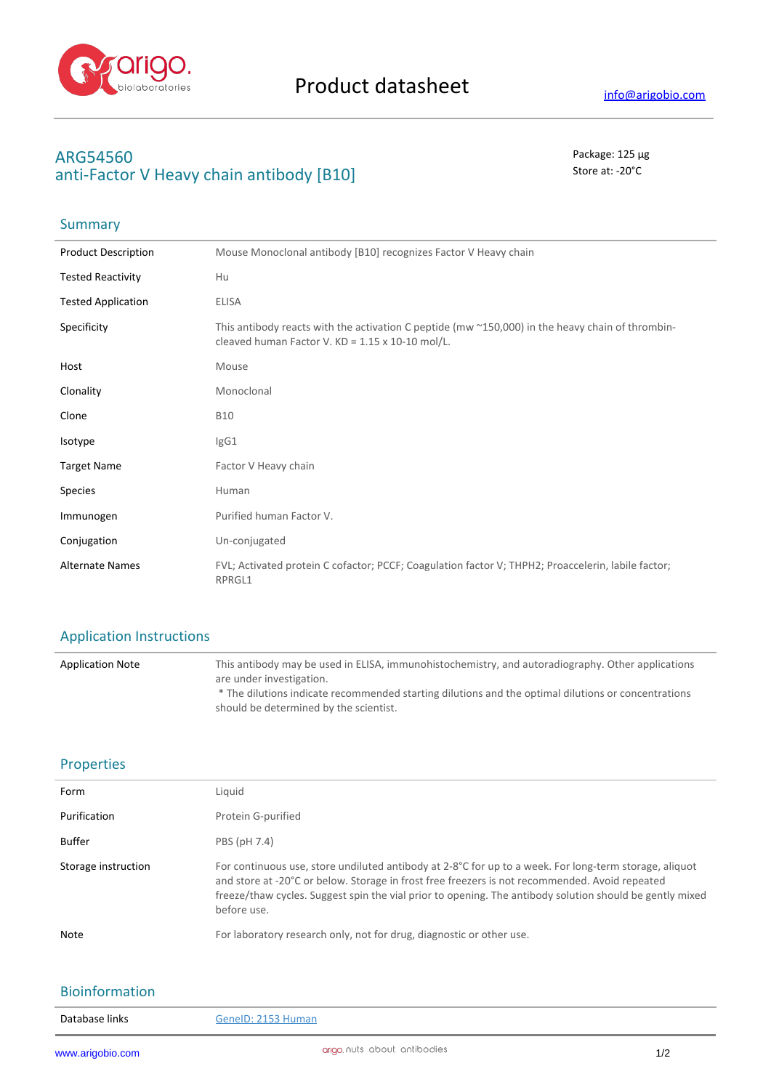

**Summary** 

## **ARG54560** Package: 125 μg anti-Factor V Heavy chain antibody [B10]

# Product Description Mouse Monoclonal antibody [B10] recognizes Factor V Heavy chain Tested Reactivity Hu Tested Application ELISA Specificity This antibody reacts with the activation C peptide (mw ~150,000) in the heavy chain of thrombincleaved human Factor V. KD = 1.15 x 10-10 mol/L. Host Mouse Clonality Monoclonal Clone B10 Isotype IgG1 Target Name **Factor V Heavy chain** Species **Human** Immunogen Purified human Factor V. Conjugation Un-conjugated Alternate Names FVL; Activated protein C cofactor; PCCF; Coagulation factor V; THPH2; Proaccelerin, labile factor; RPRGL1

#### Application Instructions

| <b>Application Note</b> | This antibody may be used in ELISA, immunohistochemistry, and autoradiography. Other applications<br>are under investigation.                 |
|-------------------------|-----------------------------------------------------------------------------------------------------------------------------------------------|
|                         | * The dilutions indicate recommended starting dilutions and the optimal dilutions or concentrations<br>should be determined by the scientist. |

#### Properties

| Form                | Liquid                                                                                                                                                                                                                                                                                                                              |
|---------------------|-------------------------------------------------------------------------------------------------------------------------------------------------------------------------------------------------------------------------------------------------------------------------------------------------------------------------------------|
| Purification        | Protein G-purified                                                                                                                                                                                                                                                                                                                  |
| Buffer              | PBS (pH 7.4)                                                                                                                                                                                                                                                                                                                        |
| Storage instruction | For continuous use, store undiluted antibody at 2-8°C for up to a week. For long-term storage, aliquot<br>and store at -20°C or below. Storage in frost free freezers is not recommended. Avoid repeated<br>freeze/thaw cycles. Suggest spin the vial prior to opening. The antibody solution should be gently mixed<br>before use. |
| <b>Note</b>         | For laboratory research only, not for drug, diagnostic or other use.                                                                                                                                                                                                                                                                |

### Bioinformation